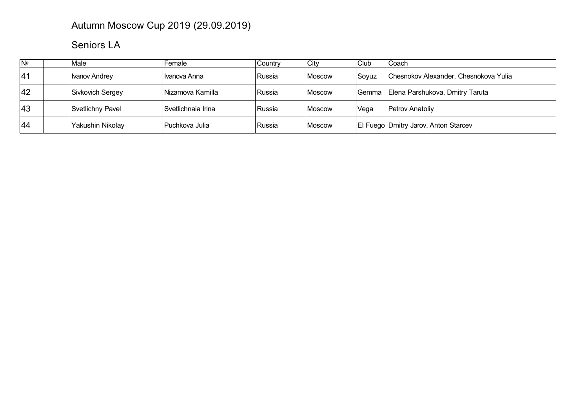## Autumn Moscow Cup 2019 (29.09.2019)

## Seniors LA

| $\overline{N^{\circ}}$ | Male             | Female             | Country | City   | Club   | Coach                                       |
|------------------------|------------------|--------------------|---------|--------|--------|---------------------------------------------|
| 41                     | Ivanov Andrey    | I Ivanova Anna     | Russia  | Moscow | ∣Sovuz | Chesnokov Alexander, Chesnokova Yulia       |
| 42                     | Sivkovich Sergey | Nizamova Kamilla   | Russia  | Moscow |        | Gemma Elena Parshukova, Dmitry Taruta       |
| 43                     | Svetlichny Pavel | Svetlichnaia Irina | ∣Russia | Moscow | Vega   | <b>Petrov Anatoliv</b>                      |
| 44                     | Yakushin Nikolay | ∣Puchkova Julia    | Russia  | Moscow |        | <b>El Fuego Dmitry Jarov, Anton Starcev</b> |